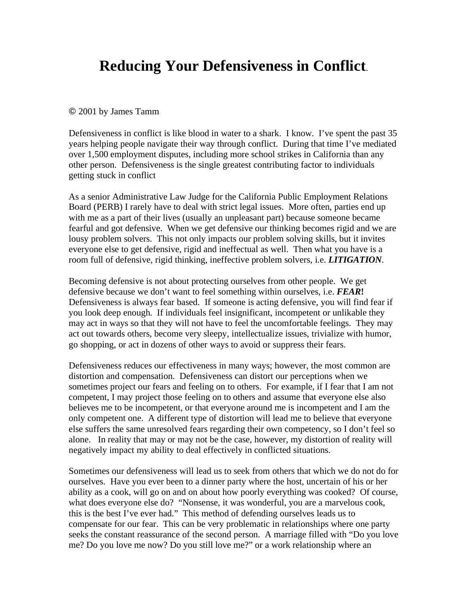## **Reducing Your Defensiveness in Conflict**.

## 2001 by James Tamm

Defensiveness in conflict is like blood in water to a shark. I know. I've spent the past 35 years helping people navigate their way through conflict. During that time I've mediated over 1,500 employment disputes, including more school strikes in California than any other person. Defensiveness is the single greatest contributing factor to individuals getting stuck in conflict

As a senior Administrative Law Judge for the California Public Employment Relations Board (PERB) I rarely have to deal with strict legal issues. More often, parties end up with me as a part of their lives (usually an unpleasant part) because someone became fearful and got defensive. When we get defensive our thinking becomes rigid and we are lousy problem solvers. This not only impacts our problem solving skills, but it invites everyone else to get defensive, rigid and ineffectual as well. Then what you have is a room full of defensive, rigid thinking, ineffective problem solvers, i.e. *LITIGATION.* 

Becoming defensive is not about protecting ourselves from other people. We get defensive because we don't want to feel something within ourselves, i.e. *FEAR***!** Defensiveness is always fear based. If someone is acting defensive, you will find fear if you look deep enough. If individuals feel insignificant, incompetent or unlikable they may act in ways so that they will not have to feel the uncomfortable feelings. They may act out towards others, become very sleepy, intellectualize issues, trivialize with humor, go shopping, or act in dozens of other ways to avoid or suppress their fears.

Defensiveness reduces our effectiveness in many ways; however, the most common are distortion and compensation. Defensiveness can distort our perceptions when we sometimes project our fears and feeling on to others. For example, if I fear that I am not competent, I may project those feeling on to others and assume that everyone else also believes me to be incompetent, or that everyone around me is incompetent and I am the only competent one. A different type of distortion will lead me to believe that everyone else suffers the same unresolved fears regarding their own competency, so I don't feel so alone. In reality that may or may not be the case, however, my distortion of reality will negatively impact my ability to deal effectively in conflicted situations.

Sometimes our defensiveness will lead us to seek from others that which we do not do for ourselves. Have you ever been to a dinner party where the host, uncertain of his or her ability as a cook, will go on and on about how poorly everything was cooked? Of course, what does everyone else do? "Nonsense, it was wonderful, you are a marvelous cook, this is the best I've ever had." This method of defending ourselves leads us to compensate for our fear. This can be very problematic in relationships where one party seeks the constant reassurance of the second person. A marriage filled with "Do you love me? Do you love me now? Do you still love me?" or a work relationship where an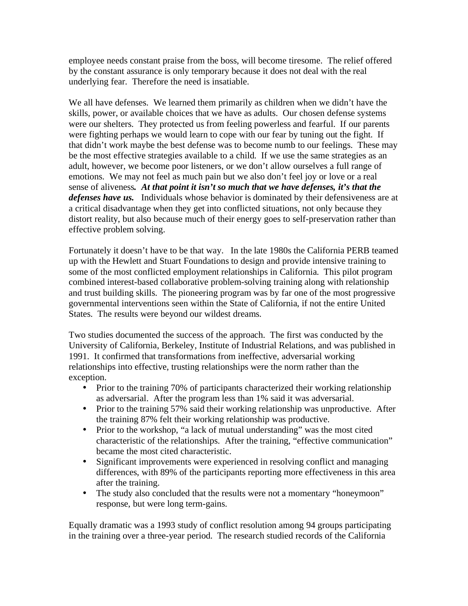employee needs constant praise from the boss, will become tiresome. The relief offered by the constant assurance is only temporary because it does not deal with the real underlying fear. Therefore the need is insatiable.

We all have defenses. We learned them primarily as children when we didn't have the skills, power, or available choices that we have as adults. Our chosen defense systems were our shelters. They protected us from feeling powerless and fearful. If our parents were fighting perhaps we would learn to cope with our fear by tuning out the fight. If that didn't work maybe the best defense was to become numb to our feelings. These may be the most effective strategies available to a child. If we use the same strategies as an adult, however, we become poor listeners, or we don't allow ourselves a full range of emotions. We may not feel as much pain but we also don't feel joy or love or a real sense of aliveness*. At that point it isn't so much that we have defenses, it's that the defenses have us.* Individuals whose behavior is dominated by their defensiveness are at a critical disadvantage when they get into conflicted situations, not only because they distort reality, but also because much of their energy goes to self-preservation rather than effective problem solving.

Fortunately it doesn't have to be that way. In the late 1980s the California PERB teamed up with the Hewlett and Stuart Foundations to design and provide intensive training to some of the most conflicted employment relationships in California. This pilot program combined interest-based collaborative problem-solving training along with relationship and trust building skills. The pioneering program was by far one of the most progressive governmental interventions seen within the State of California, if not the entire United States. The results were beyond our wildest dreams.

Two studies documented the success of the approach. The first was conducted by the University of California, Berkeley, Institute of Industrial Relations, and was published in 1991. It confirmed that transformations from ineffective, adversarial working relationships into effective, trusting relationships were the norm rather than the exception.

- Prior to the training 70% of participants characterized their working relationship as adversarial. After the program less than 1% said it was adversarial.
- Prior to the training 57% said their working relationship was unproductive. After the training 87% felt their working relationship was productive.
- Prior to the workshop, "a lack of mutual understanding" was the most cited characteristic of the relationships. After the training, "effective communication" became the most cited characteristic.
- Significant improvements were experienced in resolving conflict and managing differences, with 89% of the participants reporting more effectiveness in this area after the training.
- The study also concluded that the results were not a momentary "honeymoon" response, but were long term-gains.

Equally dramatic was a 1993 study of conflict resolution among 94 groups participating in the training over a three-year period. The research studied records of the California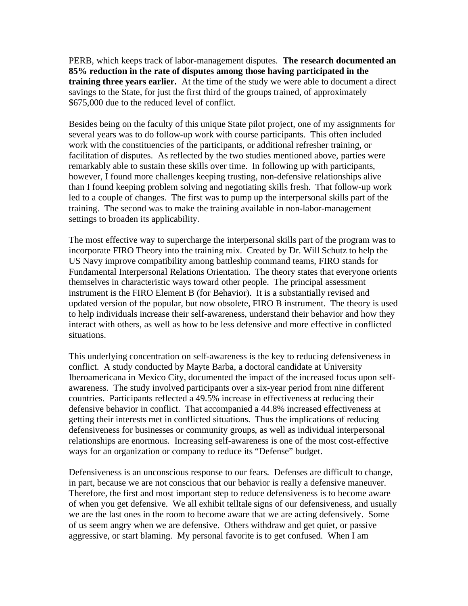PERB, which keeps track of labor-management disputes. **The research documented an 85% reduction in the rate of disputes among those having participated in the training three years earlier.** At the time of the study we were able to document a direct savings to the State, for just the first third of the groups trained, of approximately \$675,000 due to the reduced level of conflict.

Besides being on the faculty of this unique State pilot project, one of my assignments for several years was to do follow-up work with course participants. This often included work with the constituencies of the participants, or additional refresher training, or facilitation of disputes. As reflected by the two studies mentioned above, parties were remarkably able to sustain these skills over time. In following up with participants, however, I found more challenges keeping trusting, non-defensive relationships alive than I found keeping problem solving and negotiating skills fresh. That follow-up work led to a couple of changes. The first was to pump up the interpersonal skills part of the training. The second was to make the training available in non-labor-management settings to broaden its applicability.

The most effective way to supercharge the interpersonal skills part of the program was to incorporate FIRO Theory into the training mix. Created by Dr. Will Schutz to help the US Navy improve compatibility among battleship command teams, FIRO stands for Fundamental Interpersonal Relations Orientation. The theory states that everyone orients themselves in characteristic ways toward other people. The principal assessment instrument is the FIRO Element B (for Behavior). It is a substantially revised and updated version of the popular, but now obsolete, FIRO B instrument. The theory is used to help individuals increase their self-awareness, understand their behavior and how they interact with others, as well as how to be less defensive and more effective in conflicted situations.

This underlying concentration on self-awareness is the key to reducing defensiveness in conflict. A study conducted by Mayte Barba, a doctoral candidate at University Iberoamericana in Mexico City, documented the impact of the increased focus upon selfawareness. The study involved participants over a six-year period from nine different countries. Participants reflected a 49.5% increase in effectiveness at reducing their defensive behavior in conflict. That accompanied a 44.8% increased effectiveness at getting their interests met in conflicted situations. Thus the implications of reducing defensiveness for businesses or community groups, as well as individual interpersonal relationships are enormous. Increasing self-awareness is one of the most cost-effective ways for an organization or company to reduce its "Defense" budget.

Defensiveness is an unconscious response to our fears. Defenses are difficult to change, in part, because we are not conscious that our behavior is really a defensive maneuver. Therefore, the first and most important step to reduce defensiveness is to become aware of when you get defensive. We all exhibit telltale signs of our defensiveness, and usually we are the last ones in the room to become aware that we are acting defensively. Some of us seem angry when we are defensive. Others withdraw and get quiet, or passive aggressive, or start blaming. My personal favorite is to get confused. When I am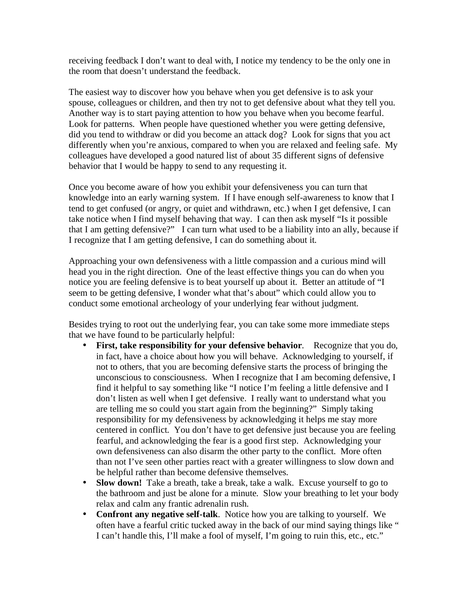receiving feedback I don't want to deal with, I notice my tendency to be the only one in the room that doesn't understand the feedback.

The easiest way to discover how you behave when you get defensive is to ask your spouse, colleagues or children, and then try not to get defensive about what they tell you. Another way is to start paying attention to how you behave when you become fearful. Look for patterns. When people have questioned whether you were getting defensive, did you tend to withdraw or did you become an attack dog? Look for signs that you act differently when you're anxious, compared to when you are relaxed and feeling safe. My colleagues have developed a good natured list of about 35 different signs of defensive behavior that I would be happy to send to any requesting it.

Once you become aware of how you exhibit your defensiveness you can turn that knowledge into an early warning system. If I have enough self-awareness to know that I tend to get confused (or angry, or quiet and withdrawn, etc.) when I get defensive, I can take notice when I find myself behaving that way. I can then ask myself "Is it possible that I am getting defensive?" I can turn what used to be a liability into an ally, because if I recognize that I am getting defensive, I can do something about it.

Approaching your own defensiveness with a little compassion and a curious mind will head you in the right direction. One of the least effective things you can do when you notice you are feeling defensive is to beat yourself up about it. Better an attitude of "I seem to be getting defensive, I wonder what that's about" which could allow you to conduct some emotional archeology of your underlying fear without judgment.

Besides trying to root out the underlying fear, you can take some more immediate steps that we have found to be particularly helpful:

- **First, take responsibility for your defensive behavior**. Recognize that you do, in fact, have a choice about how you will behave. Acknowledging to yourself, if not to others, that you are becoming defensive starts the process of bringing the unconscious to consciousness. When I recognize that I am becoming defensive, I find it helpful to say something like "I notice I'm feeling a little defensive and I don't listen as well when I get defensive. I really want to understand what you are telling me so could you start again from the beginning?" Simply taking responsibility for my defensiveness by acknowledging it helps me stay more centered in conflict. You don't have to get defensive just because you are feeling fearful, and acknowledging the fear is a good first step. Acknowledging your own defensiveness can also disarm the other party to the conflict. More often than not I've seen other parties react with a greater willingness to slow down and be helpful rather than become defensive themselves.
- **Slow down!** Take a breath, take a break, take a walk. Excuse yourself to go to the bathroom and just be alone for a minute. Slow your breathing to let your body relax and calm any frantic adrenalin rush.
- **Confront any negative self-talk**. Notice how you are talking to yourself. We often have a fearful critic tucked away in the back of our mind saying things like " I can't handle this, I'll make a fool of myself, I'm going to ruin this, etc., etc."